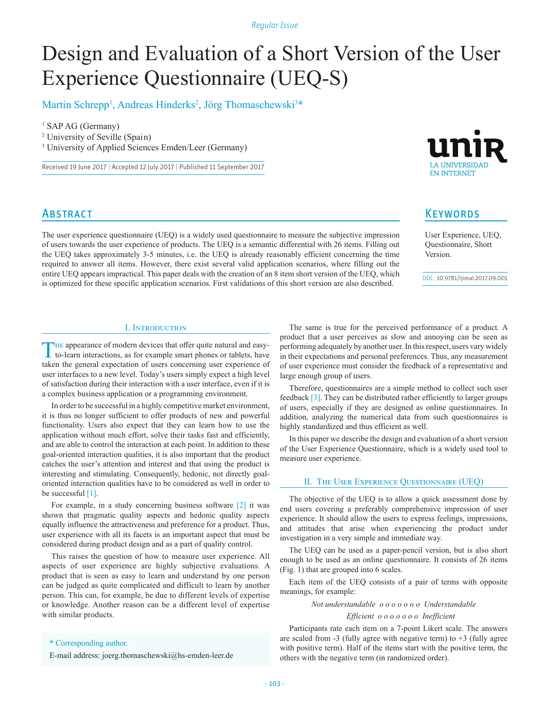*Regular Issue*

# Design and Evaluation of a Short Version of the User Experience Questionnaire (UEQ-S)

Martin Schrepp<sup>1</sup>, Andreas Hinderks<sup>2</sup>, Jörg Thomaschewski<sup>3\*</sup>

<sup>1</sup> SAP AG (Germany)

2 University of Seville (Spain)

3 University of Applied Sciences Emden/Leer (Germany)

Received 19 June 2017 | Accepted 12 July 2017 | Published 11 September 2017



# **ABSTRACT**

The user experience questionnaire (UEQ) is a widely used questionnaire to measure the subjective impression of users towards the user experience of products. The UEQ is a semantic differential with 26 items. Filling out the UEQ takes approximately 3-5 minutes, i.e. the UEQ is already reasonably efficient concerning the time required to answer all items. However, there exist several valid application scenarios, where filling out the entire UEQ appears impractical. This paper deals with the creation of an 8 item short version of the UEQ, which is optimized for these specific application scenarios. First validations of this short version are also described.

# **KEYWORDS**

User Experience, UEQ, Questionnaire, Short Version.

DOI: 10.9781/ijimai.2017.09.001

# I. Introduction

The appearance of modern devices that offer quite natural and easy-to-learn interactions, as for example smart phones or tablets, have taken the general expectation of users concerning user experience of user interfaces to a new level. Today's users simply expect a high level of satisfaction during their interaction with a user interface, even if it is a complex business application or a programming environment.

In order to be successful in a highly competitive market environment, it is thus no longer sufficient to offer products of new and powerful functionality. Users also expect that they can learn how to use the application without much effort, solve their tasks fast and efficiently, and are able to control the interaction at each point. In addition to these goal-oriented interaction qualities, it is also important that the product catches the user's attention and interest and that using the product is interesting and stimulating. Consequently, hedonic, not directly goaloriented interaction qualities have to be considered as well in order to be successful [1].

For example, in a study concerning business software [2] it was shown that pragmatic quality aspects and hedonic quality aspects equally influence the attractiveness and preference for a product. Thus, user experience with all its facets is an important aspect that must be considered during product design and as a part of quality control.

This raises the question of how to measure user experience. All aspects of user experience are highly subjective evaluations. A product that is seen as easy to learn and understand by one person can be judged as quite complicated and difficult to learn by another person. This can, for example, be due to different levels of expertise or knowledge. Another reason can be a different level of expertise with similar products.

The same is true for the perceived performance of a product. A product that a user perceives as slow and annoying can be seen as performing adequately by another user. In this respect, users vary widely in their expectations and personal preferences. Thus, any measurement of user experience must consider the feedback of a representative and large enough group of users.

Therefore, questionnaires are a simple method to collect such user feedback [3]. They can be distributed rather efficiently to larger groups of users, especially if they are designed as online questionnaires. In addition, analyzing the numerical data from such questionnaires is highly standardized and thus efficient as well.

In this paper we describe the design and evaluation of a short version of the User Experience Questionnaire, which is a widely used tool to measure user experience.

#### II. The User Experience Questionnaire (UEQ)

The objective of the UEQ is to allow a quick assessment done by end users covering a preferably comprehensive impression of user experience. It should allow the users to express feelings, impressions, and attitudes that arise when experiencing the product under investigation in a very simple and immediate way.

The UEQ can be used as a paper-pencil version, but is also short enough to be used as an online questionnaire. It consists of 26 items (Fig. 1) that are grouped into 6 scales.

Each item of the UEQ consists of a pair of terms with opposite meanings, for example:

*Not understandable o o o o o o o Understandable*

 *Efficient o o o o o o o Inefficient*

Participants rate each item on a 7-point Likert scale. The answers are scaled from  $-3$  (fully agree with negative term) to  $+3$  (fully agree with positive term). Half of the items start with the positive term, the others with the negative term (in randomized order).

## \* Corresponding author.

E-mail address: joerg.thomaschewski@hs-emden-leer.de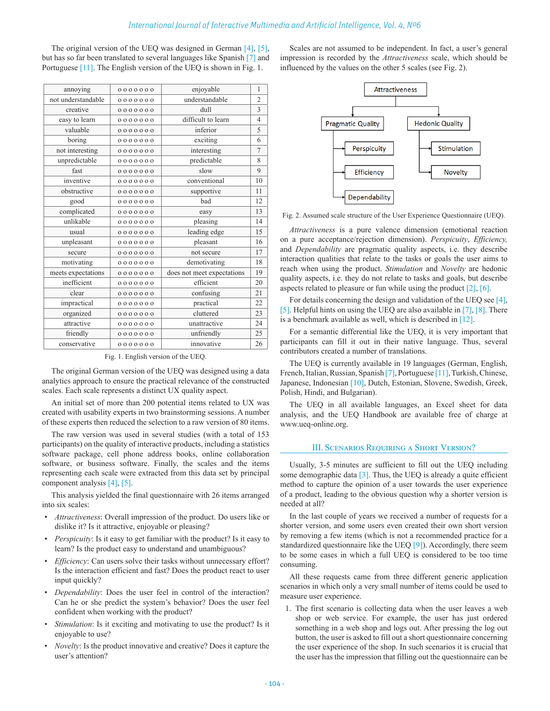The original version of the UEQ was designed in German [4], [5], but has so far been translated to several languages like Spanish [7] and Portuguese [11]. The English version of the UEQ is shown in Fig. 1.

| annoying           | 0000000 | enjoyable                  | $\mathbf{1}$   |
|--------------------|---------|----------------------------|----------------|
| not understandable | 0000000 | understandable             | $\overline{2}$ |
| creative           | 0000000 | dull                       | 3              |
| easy to learn      | 0000000 | difficult to learn         | $\overline{4}$ |
| valuable           | 0000000 | inferior                   | 5              |
| boring             | 0000000 | exciting                   | 6              |
| not interesting    | 0000000 | interesting                | $\overline{7}$ |
| unpredictable      | 0000000 | predictable                | 8              |
| fast               | 0000000 | slow                       | 9              |
| inventive          | 0000000 | conventional               | 10             |
| obstructive        | 0000000 | supportive                 | 11             |
| good               | 0000000 | bad                        | 12             |
| complicated        | 0000000 | easy                       | 13             |
| unlikable          | 0000000 | pleasing                   | 14             |
| usual              | 0000000 | leading edge               | 15             |
| unpleasant         | 0000000 | pleasant                   | 16             |
| secure             | 0000000 | not secure                 | 17             |
| motivating         | 0000000 | demotivating               | 18             |
| meets expectations | 0000000 | does not meet expectations | 19             |
| inefficient        | 0000000 | efficient                  | 20             |
| clear              | 0000000 | confusing                  | 21             |
| impractical        | 0000000 | practical                  | 22             |
| organized          | 0000000 | cluttered                  | 23             |
| attractive         | 0000000 | unattractive               |                |
| friendly           | 0000000 | unfriendly                 | 25             |
| conservative       | 0000000 | innovative                 | 26             |
|                    |         |                            |                |

Fig. 1. English version of the UEQ.

The original German version of the UEQ was designed using a data analytics approach to ensure the practical relevance of the constructed scales. Each scale represents a distinct UX quality aspect.

An initial set of more than 200 potential items related to UX was created with usability experts in two brainstorming sessions. A number of these experts then reduced the selection to a raw version of 80 items.

The raw version was used in several studies (with a total of 153 participants) on the quality of interactive products, including a statistics software package, cell phone address books, online collaboration software, or business software. Finally, the scales and the items representing each scale were extracted from this data set by principal component analysis [4], [5].

This analysis yielded the final questionnaire with 26 items arranged into six scales:

- *Attractiveness*: Overall impression of the product. Do users like or dislike it? Is it attractive, enjoyable or pleasing?
- *Perspicuity*: Is it easy to get familiar with the product? Is it easy to learn? Is the product easy to understand and unambiguous?
- *Efficiency*: Can users solve their tasks without unnecessary effort? Is the interaction efficient and fast? Does the product react to user input quickly?
- *Dependability*: Does the user feel in control of the interaction? Can he or she predict the system's behavior? Does the user feel confident when working with the product?
- *Stimulation*: Is it exciting and motivating to use the product? Is it enjoyable to use?
- *Novelty*: Is the product innovative and creative? Does it capture the user's attention?

Scales are not assumed to be independent. In fact, a user's general impression is recorded by the *Attractiveness* scale, which should be influenced by the values on the other 5 scales (see Fig. 2).



Fig. 2. Assumed scale structure of the User Experience Questionnaire (UEQ).

*Attractiveness* is a pure valence dimension (emotional reaction on a pure acceptance/rejection dimension). *Perspicuity*, *Efficiency,* and *Dependability* are pragmatic quality aspects, i.e. they describe interaction qualities that relate to the tasks or goals the user aims to reach when using the product. *Stimulation* and *Novelty* are hedonic quality aspects, i.e. they do not relate to tasks and goals, but describe aspects related to pleasure or fun while using the product [2], [6].

For details concerning the design and validation of the UEQ see [4], [5]. Helpful hints on using the UEQ are also available in [7], [8]. There is a benchmark available as well, which is described in [12].

For a semantic differential like the UEQ, it is very important that participants can fill it out in their native language. Thus, several contributors created a number of translations.

The UEQ is currently available in 19 languages (German, English, French, Italian, Russian, Spanish [7], Portuguese [11], Turkish, Chinese, Japanese, Indonesian [10], Dutch, Estonian, Slovene, Swedish, Greek, Polish, Hindi, and Bulgarian).

The UEQ in all available languages, an Excel sheet for data analysis, and the UEQ Handbook are available free of charge at [www.ueq-online.org.](http://www.ueq-online.org)

#### III. Scenarios Requiring a Short Version?

Usually, 3-5 minutes are sufficient to fill out the UEQ including some demographic data  $[3]$ . Thus, the UEQ is already a quite efficient method to capture the opinion of a user towards the user experience of a product, leading to the obvious question why a shorter version is needed at all?

In the last couple of years we received a number of requests for a shorter version, and some users even created their own short version by removing a few items (which is not a recommended practice for a standardized questionnaire like the UEQ  $[9]$ ). Accordingly, there seem to be some cases in which a full UEQ is considered to be too time consuming.

All these requests came from three different generic application scenarios in which only a very small number of items could be used to measure user experience.

1. The first scenario is collecting data when the user leaves a web shop or web service. For example, the user has just ordered something in a web shop and logs out. After pressing the log out button, the user is asked to fill out a short questionnaire concerning the user experience of the shop. In such scenarios it is crucial that the user has the impression that filling out the questionnaire can be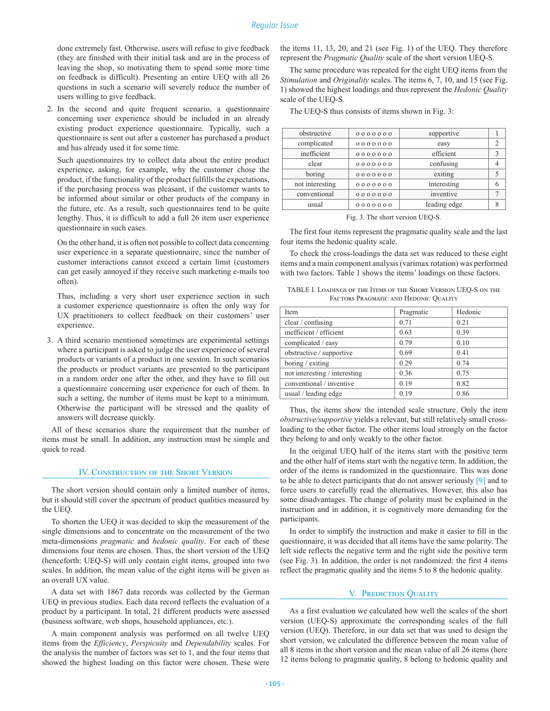done extremely fast. Otherwise, users will refuse to give feedback (they are finished with their initial task and are in the process of leaving the shop, so motivating them to spend some more time on feedback is difficult). Presenting an entire UEQ with all 26 questions in such a scenario will severely reduce the number of users willing to give feedback.

2. In the second and quite frequent scenario, a questionnaire concerning user experience should be included in an already existing product experience questionnaire. Typically, such a questionnaire is sent out after a customer has purchased a product and has already used it for some time.

Such questionnaires try to collect data about the entire product experience, asking, for example, why the customer chose the product, if the functionality of the product fulfills the expectations, if the purchasing process was pleasant, if the customer wants to be informed about similar or other products of the company in the future, etc. As a result, such questionnaires tend to be quite lengthy. Thus, it is difficult to add a full 26 item user experience questionnaire in such cases.

On the other hand, it is often not possible to collect data concerning user experience in a separate questionnaire, since the number of customer interactions cannot exceed a certain limit (customers can get easily annoyed if they receive such marketing e-mails too often).

Thus, including a very short user experience section in such a customer experience questionnaire is often the only way for UX practitioners to collect feedback on their customers' user experience.

3. A third scenario mentioned sometimes are experimental settings where a participant is asked to judge the user experience of several products or variants of a product in one session. In such scenarios the products or product variants are presented to the participant in a random order one after the other, and they have to fill out a questionnaire concerning user experience for each of them. In such a setting, the number of items must be kept to a minimum. Otherwise the participant will be stressed and the quality of answers will decrease quickly.

All of these scenarios share the requirement that the number of items must be small. In addition, any instruction must be simple and quick to read.

#### IV. Construction of the Short Version

The short version should contain only a limited number of items, but it should still cover the spectrum of product qualities measured by the UEQ.

To shorten the UEQ it was decided to skip the measurement of the single dimensions and to concentrate on the measurement of the two meta-dimensions *pragmatic* and *hedonic quality*. For each of these dimensions four items are chosen. Thus, the short version of the UEQ (henceforth: UEQ-S) will only contain eight items, grouped into two scales. In addition, the mean value of the eight items will be given as an overall UX value.

A data set with 1867 data records was collected by the German UEQ in previous studies. Each data record reflects the evaluation of a product by a participant. In total, 21 different products were assessed (business software, web shops, household appliances, etc.).

A main component analysis was performed on all twelve UEQ items from the *Efficiency*, *Perspicuity* and *Dependability* scales. For the analysis the number of factors was set to 1, and the four items that showed the highest loading on this factor were chosen. These were the items 11, 13, 20, and 21 (see Fig. 1) of the UEQ. They therefore represent the *Pragmatic Quality* scale of the short version UEQ-S.

The same procedure was repeated for the eight UEQ items from the *Stimulation* and *Originality* scales. The items 6, 7, 10, and 15 (see Fig. 1) showed the highest loadings and thus represent the *Hedonic Quality* scale of the UEQ-S.

The UEQ-S thus consists of items shown in Fig. 3:

| obstructive     | 0000000 | supportive   |                |
|-----------------|---------|--------------|----------------|
| complicated     | 0000000 | easy         | $\overline{c}$ |
| inefficient     | 0000000 | efficient    | 3              |
| clear           | 0000000 | confusing    |                |
| boring          | 0000000 | exiting      | 5              |
| not interesting | 0000000 | interesting  | 6              |
| conventional    | 0000000 | inventive    |                |
| usual           | 0000000 | leading edge |                |
|                 |         |              |                |

Fig. 3. The short version UEQ-S.

The first four items represent the pragmatic quality scale and the last four items the hedonic quality scale.

To check the cross-loadings the data set was reduced to these eight items and a main component analysis (varimax rotation) was performed with two factors. Table 1 shows the items' loadings on these factors.

| TABLE I. LOADINGS OF THE ITEMS OF THE SHORT VERSION UEO-S ON THE |
|------------------------------------------------------------------|
| FACTORS PRAGMATIC AND HEDONIC QUALITY                            |

| Item                          | Pragmatic | Hedonic |
|-------------------------------|-----------|---------|
| clear / confusing             | 0.71      | 0.21    |
| inefficient / efficient       | 0.63      | 0.39    |
| complicated / easy            | 0.79      | 0.10    |
| obstructive / supportive      | 0.69      | 0.41    |
| boring / exiting              | 0.29      | 0.74    |
| not interesting / interesting | 0.36      | 0.75    |
| conventional / inventive      | 0.19      | 0.82    |
| usual / leading edge          | 0.19      | 0.86    |

Thus, the items show the intended scale structure. Only the item *obstructive/supportive* yields a relevant, but still relatively small crossloading to the other factor. The other items load strongly on the factor they belong to and only weakly to the other factor.

In the original UEQ half of the items start with the positive term and the other half of items start with the negative term. In addition, the order of the items is randomized in the questionnaire. This was done to be able to detect participants that do not answer seriously [9] and to force users to carefully read the alternatives. However, this also has some disadvantages. The change of polarity must be explained in the instruction and in addition, it is cognitively more demanding for the participants.

In order to simplify the instruction and make it easier to fill in the questionnaire, it was decided that all items have the same polarity. The left side reflects the negative term and the right side the positive term (see Fig. 3). In addition, the order is not randomized: the first 4 items reflect the pragmatic quality and the items 5 to 8 the hedonic quality.

#### V. PREDICTION QUALITY

As a first evaluation we calculated how well the scales of the short version (UEQ-S) approximate the corresponding scales of the full version (UEQ). Therefore, in our data set that was used to design the short version, we calculated the difference between the mean value of all 8 items in the short version and the mean value of all 26 items (here 12 items belong to pragmatic quality, 8 belong to hedonic quality and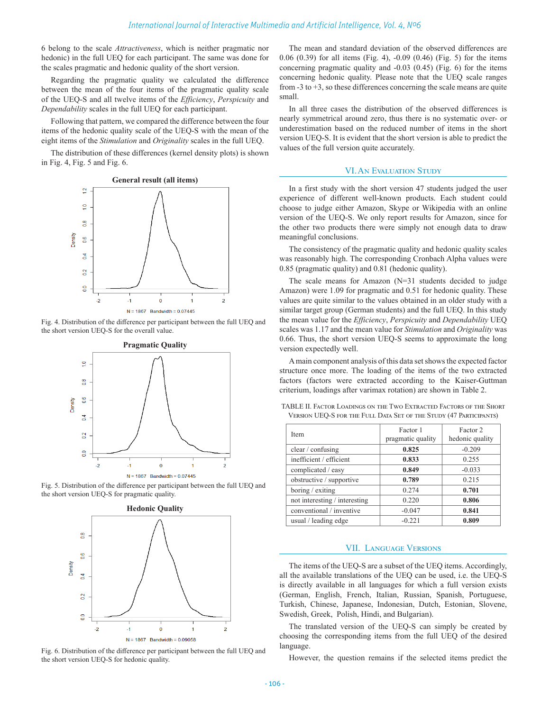6 belong to the scale *Attractiveness*, which is neither pragmatic nor hedonic) in the full UEQ for each participant. The same was done for the scales pragmatic and hedonic quality of the short version.

Regarding the pragmatic quality we calculated the difference between the mean of the four items of the pragmatic quality scale of the UEQ-S and all twelve items of the *Efficiency*, *Perspicuity* and *Dependability* scales in the full UEQ for each participant.

Following that pattern, we compared the difference between the four items of the hedonic quality scale of the UEQ-S with the mean of the eight items of the *Stimulation* and *Originality* scales in the full UEQ.

The distribution of these differences (kernel density plots) is shown in Fig. 4, Fig. 5 and Fig. 6.











Fig. 6. Distribution of the difference per participant between the full UEQ and the short version UEQ-S for hedonic quality.

The mean and standard deviation of the observed differences are 0.06 (0.39) for all items (Fig. 4), -0.09 (0.46) (Fig. 5) for the items concerning pragmatic quality and -0.03 (0.45) (Fig. 6) for the items concerning hedonic quality. Please note that the UEQ scale ranges from  $-3$  to  $+3$ , so these differences concerning the scale means are quite small.

In all three cases the distribution of the observed differences is nearly symmetrical around zero, thus there is no systematic over- or underestimation based on the reduced number of items in the short version UEQ-S. It is evident that the short version is able to predict the values of the full version quite accurately.

#### VI.An Evaluation Study

In a first study with the short version 47 students judged the user experience of different well-known products. Each student could choose to judge either Amazon, Skype or Wikipedia with an online version of the UEQ-S. We only report results for Amazon, since for the other two products there were simply not enough data to draw meaningful conclusions.

The consistency of the pragmatic quality and hedonic quality scales was reasonably high. The corresponding Cronbach Alpha values were 0.85 (pragmatic quality) and 0.81 (hedonic quality).

The scale means for Amazon (N=31 students decided to judge Amazon) were 1.09 for pragmatic and 0.51 for hedonic quality. These values are quite similar to the values obtained in an older study with a similar target group (German students) and the full UEQ. In this study the mean value for the *Efficiency*, *Perspicuity* and *Dependability* UEQ scales was 1.17 and the mean value for *Stimulation* and *Originality* was 0.66. Thus, the short version UEQ-S seems to approximate the long version expectedly well.

A main component analysis of this data set shows the expected factor structure once more. The loading of the items of the two extracted factors (factors were extracted according to the Kaiser-Guttman criterium, loadings after varimax rotation) are shown in Table 2.

| Item                          | Factor 1<br>pragmatic quality | Factor 2<br>hedonic quality |
|-------------------------------|-------------------------------|-----------------------------|
| clear / confusing             | 0.825                         | $-0.209$                    |
| inefficient / efficient       | 0.833                         | 0.255                       |
| complicated / easy            | 0.849                         | $-0.033$                    |
| obstructive / supportive      | 0.789                         | 0.215                       |
| boring / exiting              | 0.274                         | 0.701                       |
| not interesting / interesting | 0.220                         | 0.806                       |
| conventional / inventive      | $-0.047$                      | 0.841                       |
| usual / leading edge          | $-0.221$                      | 0.809                       |

TABLE II. Factor Loadings on the Two Extracted Factors of the Short Version UEQ-S for the Full Data Set of the Study (47 Participants)

#### VII. Language Versions

The items of the UEQ-S are a subset of the UEQ items. Accordingly, all the available translations of the UEQ can be used, i.e. the UEQ-S is directly available in all languages for which a full version exists (German, English, French, Italian, Russian, Spanish, Portuguese, Turkish, Chinese, Japanese, Indonesian, Dutch, Estonian, Slovene, Swedish, Greek, Polish, Hindi, and Bulgarian).

The translated version of the UEQ-S can simply be created by choosing the corresponding items from the full UEQ of the desired language.

However, the question remains if the selected items predict the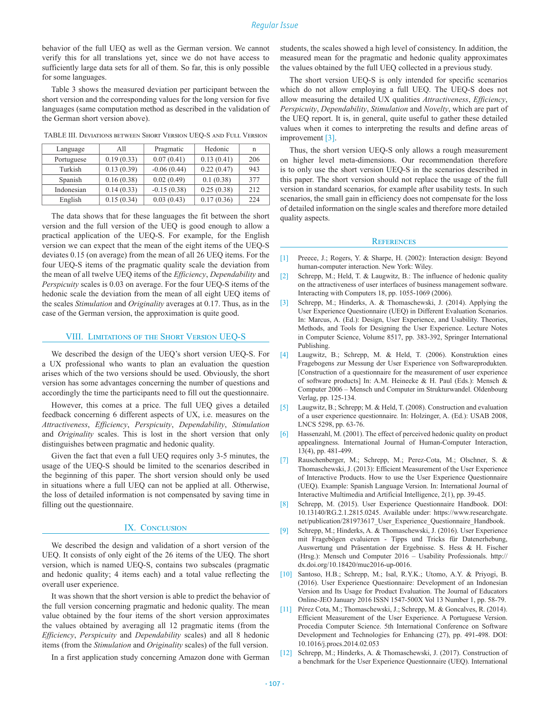behavior of the full UEQ as well as the German version. We cannot verify this for all translations yet, since we do not have access to sufficiently large data sets for all of them. So far, this is only possible for some languages.

Table 3 shows the measured deviation per participant between the short version and the corresponding values for the long version for five languages (same computation method as described in the validation of the German short version above).

TABLE III. Deviations between Short Version UEQ-S and Full Version

| Language   | A11        | Pragmatic     | Hedonic    | n   |
|------------|------------|---------------|------------|-----|
| Portuguese | 0.19(0.33) | 0.07(0.41)    | 0.13(0.41) | 206 |
| Turkish    | 0.13(0.39) | $-0.06(0.44)$ | 0.22(0.47) | 943 |
| Spanish    | 0.16(0.38) | 0.02(0.49)    | 0.1(0.38)  | 377 |
| Indonesian | 0.14(0.33) | $-0.15(0.38)$ | 0.25(0.38) | 212 |
| English    | 0.15(0.34) | 0.03(0.43)    | 0.17(0.36) | 224 |

The data shows that for these languages the fit between the short version and the full version of the UEQ is good enough to allow a practical application of the UEQ-S. For example, for the English version we can expect that the mean of the eight items of the UEQ-S deviates 0.15 (on average) from the mean of all 26 UEQ items. For the four UEQ-S items of the pragmatic quality scale the deviation from the mean of all twelve UEQ items of the *Efficiency*, *Dependability* and *Perspicuity* scales is 0.03 on average. For the four UEQ-S items of the hedonic scale the deviation from the mean of all eight UEQ items of the scales *Stimulation* and *Originality* averages at 0.17. Thus, as in the case of the German version, the approximation is quite good.

## VIII. Limitations of the Short Version UEQ-S

We described the design of the UEQ's short version UEQ-S. For a UX professional who wants to plan an evaluation the question arises which of the two versions should be used. Obviously, the short version has some advantages concerning the number of questions and accordingly the time the participants need to fill out the questionnaire.

However, this comes at a price. The full UEQ gives a detailed feedback concerning 6 different aspects of UX, i.e. measures on the *Attractiveness*, *Efficiency*, *Perspicuity*, *Dependability*, *Stimulation* and *Originality* scales. This is lost in the short version that only distinguishes between pragmatic and hedonic quality.

Given the fact that even a full UEQ requires only 3-5 minutes, the usage of the UEQ-S should be limited to the scenarios described in the beginning of this paper. The short version should only be used in situations where a full UEQ can not be applied at all. Otherwise, the loss of detailed information is not compensated by saving time in filling out the questionnaire.

#### IX. CONCLUSION

We described the design and validation of a short version of the UEQ. It consists of only eight of the 26 items of the UEQ. The short version, which is named UEQ-S, contains two subscales (pragmatic and hedonic quality; 4 items each) and a total value reflecting the overall user experience.

It was shown that the short version is able to predict the behavior of the full version concerning pragmatic and hedonic quality. The mean value obtained by the four items of the short version approximates the values obtained by averaging all 12 pragmatic items (from the *Efficiency*, *Perspicuity* and *Dependability* scales) and all 8 hedonic items (from the *Stimulation* and *Originality* scales) of the full version.

In a first application study concerning Amazon done with German

students, the scales showed a high level of consistency. In addition, the measured mean for the pragmatic and hedonic quality approximates the values obtained by the full UEQ collected in a previous study.

The short version UEQ-S is only intended for specific scenarios which do not allow employing a full UEQ. The UEQ-S does not allow measuring the detailed UX qualities *Attractiveness*, *Efficiency*, *Perspicuity*, *Dependability*, *Stimulation* and *Novelty*, which are part of the UEQ report. It is, in general, quite useful to gather these detailed values when it comes to interpreting the results and define areas of improvement [3].

Thus, the short version UEQ-S only allows a rough measurement on higher level meta-dimensions. Our recommendation therefore is to only use the short version UEQ-S in the scenarios described in this paper. The short version should not replace the usage of the full version in standard scenarios, for example after usability tests. In such scenarios, the small gain in efficiency does not compensate for the loss of detailed information on the single scales and therefore more detailed quality aspects.

#### **REFERENCES**

- [1] Preece, J.; Rogers, Y. & Sharpe, H. (2002): Interaction design: Beyond human-computer interaction. New York: Wiley.
- [2] Schrepp, M.; Held, T. & Laugwitz, B.: The influence of hedonic quality on the attractiveness of user interfaces of business management software. Interacting with Computers 18, pp. 1055-1069 (2006).
- [3] Schrepp, M.; Hinderks, A. & Thomaschewski, J. (2014). Applying the User Experience Questionnaire (UEQ) in Different Evaluation Scenarios. In: Marcus, A. (Ed.): Design, User Experience, and Usability. Theories, Methods, and Tools for Designing the User Experience. Lecture Notes in Computer Science, Volume 8517, pp. 383-392, Springer International Publishing.
- [4] Laugwitz, B.; Schrepp, M. & Held, T. (2006). Konstruktion eines Fragebogens zur Messung der User Experience von Softwareprodukten. [Construction of a questionnaire for the measurement of user experience of software products] In: A.M. Heinecke & H. Paul (Eds.): Mensch & Computer 2006 – Mensch und Computer im Strukturwandel. Oldenbourg Verlag, pp. 125-134.
- [5] Laugwitz, B.; Schrepp; M. & Held, T. (2008). Construction and evaluation of a user experience questionnaire*.* In: Holzinger, A. (Ed.): USAB 2008, LNCS 5298, pp. 63-76.
- [6] Hassenzahl, M. (2001). The effect of perceived hedonic quality on product appealingness. International Journal of Human-Computer Interaction, 13(4), pp. 481-499.
- [7] Rauschenberger, M.; Schrepp, M.; Perez-Cota, M.; Olschner, S. & Thomaschewski, J. (2013): Efficient Measurement of the User Experience of Interactive Products. How to use the User Experience Questionnaire (UEQ). Example: Spanish Language Version. In: International Journal of Interactive Multimedia and Artificial Intelligence, 2(1), pp. 39-45.
- [8] Schrepp, M. (2015). User Experience Questionnaire Handbook. DOI: 10.13140/RG.2.1.2815.0245. Available under: https://www.researchgate. net/publication/281973617\_User\_Experience\_Questionnaire\_Handbook.
- [9] Schrepp, M.; Hinderks, A. & Thomaschewski, J. (2016). User Experience mit Fragebögen evaluieren - Tipps und Tricks für Datenerhebung, Auswertung und Präsentation der Ergebnisse. S. Hess & H. Fischer (Hrsg.): Mensch und Computer 2016 – Usability Professionals. [http://](http://dx.doi.org/10.18420/muc2016-up-0016) [dx.doi.org/10.18420/muc2016-up-0016.](http://dx.doi.org/10.18420/muc2016-up-0016)
- [10] Santoso, H.B.; Schrepp, M.; Isal, R.Y.K.; Utomo, A.Y. & Priyogi, B. (2016). User Experience Questionnaire: Development of an Indonesian Version and Its Usage for Product Evaluation. The Journal of Educators Online-JEO January 2016 ISSN 1547-500X Vol 13 Number 1, pp. 58-79.
- [11] Pérez Cota, M.; Thomaschewski, J.; Schrepp, M. & Goncalves, R. (2014). Efficient Measurement of the User Experience. A Portuguese Version. Procedia Computer Science. 5th International Conference on Software Development and Technologies for Enhancing (27), pp. 491-498. DOI: 10.1016/j.procs.2014.02.053
- [12] Schrepp, M.; Hinderks, A. & Thomaschewski, J. (2017). Construction of a benchmark for the User Experience Questionnaire (UEQ). International